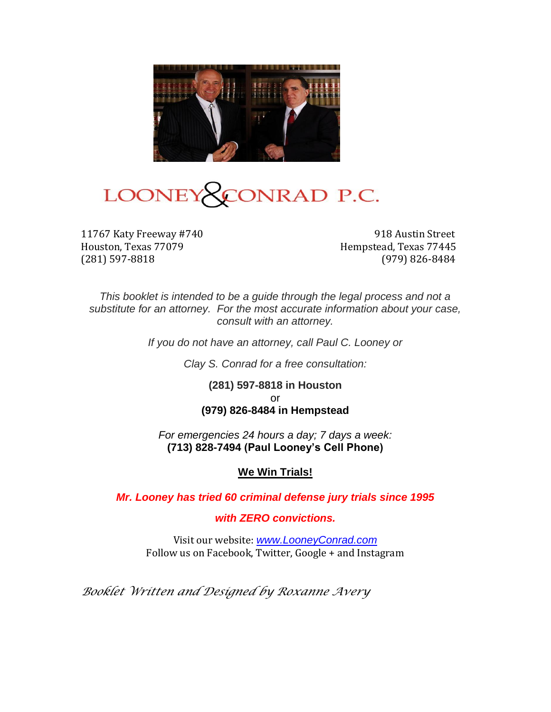

# LOONEY CONRAD P.C.

11767 Katy Freeway #740 918 Austin Street Houston, Texas 77079 **Hempstead, Texas 77445** (281) 597-8818 (979) 826-8484

*This booklet is intended to be a guide through the legal process and not a substitute for an attorney. For the most accurate information about your case, consult with an attorney.*

*If you do not have an attorney, call Paul C. Looney or* 

*Clay S. Conrad for a free consultation:*

**(281) 597-8818 in Houston** or **(979) 826-8484 in Hempstead**

*For emergencies 24 hours a day; 7 days a week:* **(713) 828-7494 (Paul Looney's Cell Phone)**

#### **We Win Trials!**

*Mr. Looney has tried 60 criminal defense jury trials since 1995* 

*with ZERO convictions.*

Visit our website: *[www.LooneyConrad.com](http://www.looneyconrad.com/)* Follow us on Facebook, Twitter, Google + and Instagram

*Booklet Written and Designed by Roxanne Avery*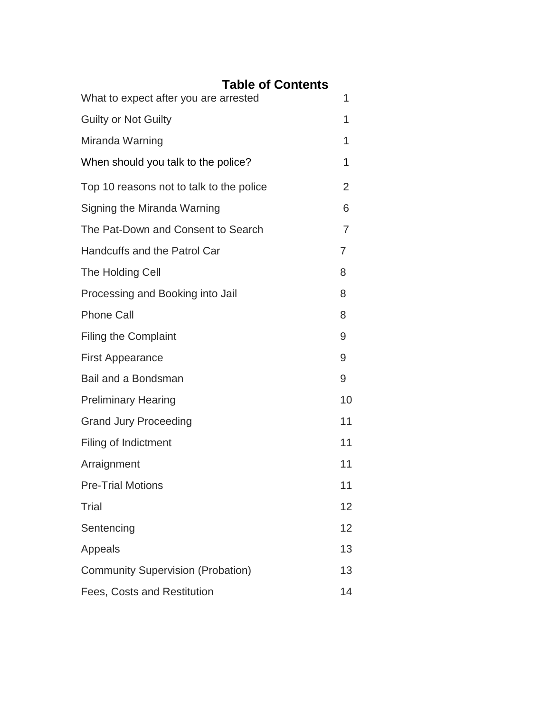# **Table of Contents**

| What to expect after you are arrested    | 1  |
|------------------------------------------|----|
| <b>Guilty or Not Guilty</b>              | 1  |
| Miranda Warning                          | 1  |
| When should you talk to the police?      | 1  |
| Top 10 reasons not to talk to the police | 2  |
| Signing the Miranda Warning              | 6  |
| The Pat-Down and Consent to Search       | 7  |
| Handcuffs and the Patrol Car             | 7  |
| The Holding Cell                         | 8  |
| Processing and Booking into Jail         | 8  |
| <b>Phone Call</b>                        | 8  |
| <b>Filing the Complaint</b>              | 9  |
| <b>First Appearance</b>                  | 9  |
| Bail and a Bondsman                      | 9  |
| <b>Preliminary Hearing</b>               | 10 |
| <b>Grand Jury Proceeding</b>             | 11 |
| Filing of Indictment                     | 11 |
| Arraignment                              | 11 |
| <b>Pre-Trial Motions</b>                 | 11 |
| Trial                                    | 12 |
| Sentencing                               | 12 |
| Appeals                                  | 13 |
| <b>Community Supervision (Probation)</b> | 13 |
| Fees, Costs and Restitution              | 14 |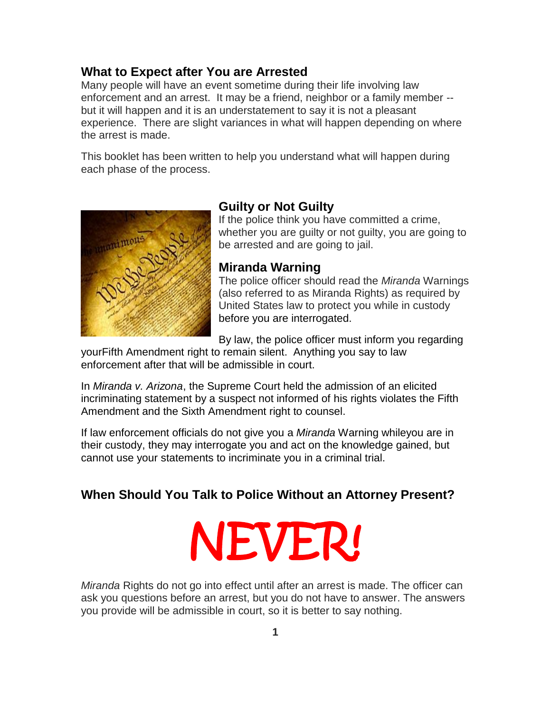#### **What to Expect after You are Arrested**

Many people will have an event sometime during their life involving law enforcement and an arrest. It may be a friend, neighbor or a family member - but it will happen and it is an understatement to say it is not a pleasant experience. There are slight variances in what will happen depending on where the arrest is made.

This booklet has been written to help you understand what will happen during each phase of the process.



#### **Guilty or Not Guilty**

If the police think you have committed a crime, whether you are guilty or not guilty, you are going to be arrested and are going to jail.

#### **Miranda Warning**

The police officer should read the *Miranda* Warnings (also referred to as Miranda Rights) as required by United States law to protect you while in custody before you are interrogated.

By law, the police officer must inform you regarding

you[rFifth Amendment](http://en.wikipedia.org/wiki/Fifth_Amendment_to_the_United_States_Constitution) right to remain silent. Anything you say to law enforcement after that will be admissible in court.

In *[Miranda v. Arizona](http://en.wikipedia.org/wiki/Miranda_v._Arizona)*, the Supreme Court held the [admission](http://en.wikipedia.org/wiki/Admissible_evidence) of an elicited incriminating statement by a suspect not informed of his rights violates the Fifth Amendment and the [Sixth Amendment right to counsel.](http://en.wikipedia.org/wiki/Sixth_Amendment_to_the_United_States_Constitution)

If law enforcement officials do not give you a *Miranda* Warning whileyou are in their custody, they may interrogate you and act on the knowledge gained, but cannot use your statements to incriminate you in a criminal trial.

#### **When Should You Talk to Police Without an Attorney Present?**

# NEVER!

*Miranda* Rights do not go into effect until after an arrest is made. The officer can ask you questions before an arrest, but you do not have to answer. The answers you provide will be admissible in court, so it is better to say nothing.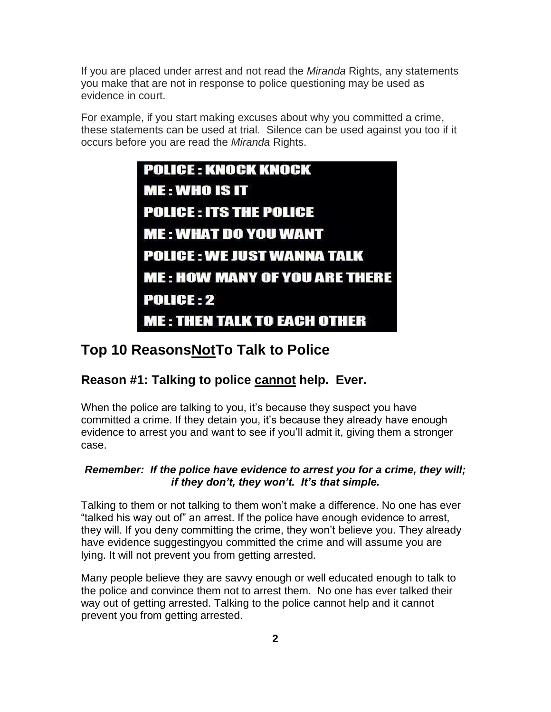If you are placed under arrest and not read the *Miranda* Rights, any statements you make that are not in response to police questioning may be used as evidence in court.

For example, if you start making excuses about why you committed a crime, these statements can be used at trial. Silence can be used against you too if it occurs before you are read the *Miranda* Rights.



# **Top 10 ReasonsNotTo Talk to Police**

# **Reason #1: Talking to police cannot help. Ever.**

When the police are talking to you, it's because they suspect you have committed a crime. If they detain you, it's because they already have enough evidence to arrest you and want to see if you'll admit it, giving them a stronger case.

#### *Remember: If the police have evidence to arrest you for a crime, they will; if they don't, they won't. It's that simple.*

Talking to them or not talking to them won't make a difference. No one has ever "talked his way out of" an arrest. If the police have enough evidence to arrest, they will. If you deny committing the crime, they won't believe you. They already have evidence suggestingyou committed the crime and will assume you are lying. It will not prevent you from getting arrested.

Many people believe they are savvy enough or well educated enough to talk to the police and convince them not to arrest them. No one has ever talked their way out of getting arrested. Talking to the police cannot help and it cannot prevent you from getting arrested.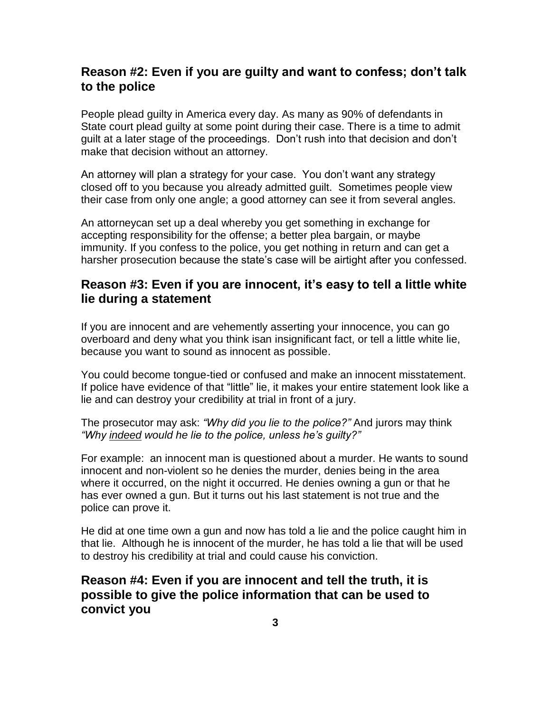# **Reason #2: Even if you are guilty and want to confess; don't talk to the police**

People plead guilty in America every day. As many as 90% of defendants in State court plead guilty at some point during their case. There is a time to admit guilt at a later stage of the proceedings. Don't rush into that decision and don't make that decision without an attorney.

An attorney will plan a strategy for your case. You don't want any strategy closed off to you because you already admitted guilt. Sometimes people view their case from only one angle; a good attorney can see it from several angles.

An attorneycan set up a deal whereby you get something in exchange for accepting responsibility for the offense; a better plea bargain, or maybe immunity. If you confess to the police, you get nothing in return and can get a harsher prosecution because the state's case will be airtight after you confessed.

# **Reason #3: Even if you are innocent, it's easy to tell a little white lie during a statement**

If you are innocent and are vehemently asserting your innocence, you can go overboard and deny what you think isan insignificant fact, or tell a little white lie, because you want to sound as innocent as possible.

You could become tongue-tied or confused and make an innocent misstatement. If police have evidence of that "little" lie, it makes your entire statement look like a lie and can destroy your credibility at trial in front of a jury.

The prosecutor may ask: *"Why did you lie to the police?"* And jurors may think *"Why indeed would he lie to the police, unless he's guilty?"*

For example: an innocent man is questioned about a murder. He wants to sound innocent and non-violent so he denies the murder, denies being in the area where it occurred, on the night it occurred. He denies owning a gun or that he has ever owned a gun. But it turns out his last statement is not true and the police can prove it.

He did at one time own a gun and now has told a lie and the police caught him in that lie. Although he is innocent of the murder, he has told a lie that will be used to destroy his credibility at trial and could cause his conviction.

**Reason #4: Even if you are innocent and tell the truth, it is possible to give the police information that can be used to convict you**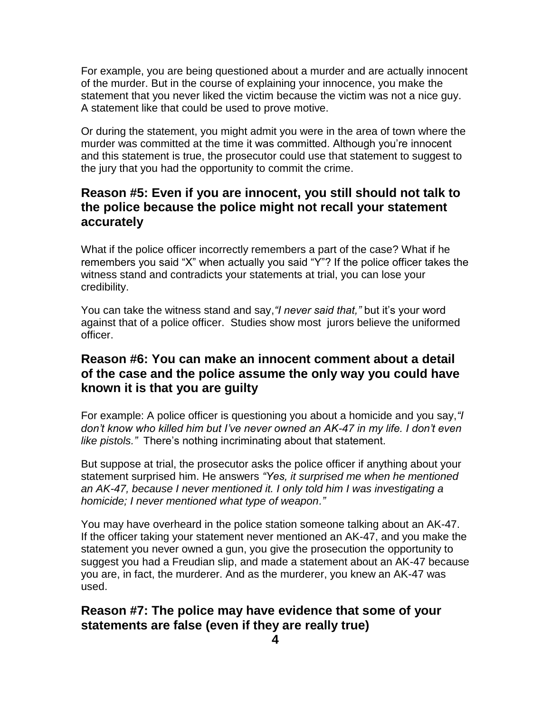For example, you are being questioned about a murder and are actually innocent of the murder. But in the course of explaining your innocence, you make the statement that you never liked the victim because the victim was not a nice guy. A statement like that could be used to prove motive.

Or during the statement, you might admit you were in the area of town where the murder was committed at the time it was committed. Although you're innocent and this statement is true, the prosecutor could use that statement to suggest to the jury that you had the opportunity to commit the crime.

# **Reason #5: Even if you are innocent, you still should not talk to the police because the police might not recall your statement accurately**

What if the police officer incorrectly remembers a part of the case? What if he remembers you said "X" when actually you said "Y"? If the police officer takes the witness stand and contradicts your statements at trial, you can lose your credibility.

You can take the witness stand and say,*"I never said that,"* but it's your word against that of a police officer. Studies show most jurors believe the uniformed officer.

# **Reason #6: You can make an innocent comment about a detail of the case and the police assume the only way you could have known it is that you are guilty**

For example: A police officer is questioning you about a homicide and you say,*"I don't know who killed him but I've never owned an AK-47 in my life. I don't even like pistols."* There's nothing incriminating about that statement.

But suppose at trial, the prosecutor asks the police officer if anything about your statement surprised him. He answers *"Yes, it surprised me when he mentioned an AK-47, because I never mentioned it. I only told him I was investigating a homicide; I never mentioned what type of weapon."*

You may have overheard in the police station someone talking about an AK-47. If the officer taking your statement never mentioned an AK-47, and you make the statement you never owned a gun, you give the prosecution the opportunity to suggest you had a Freudian slip, and made a statement about an AK-47 because you are, in fact, the murderer. And as the murderer, you knew an AK-47 was used.

# **Reason #7: The police may have evidence that some of your statements are false (even if they are really true)**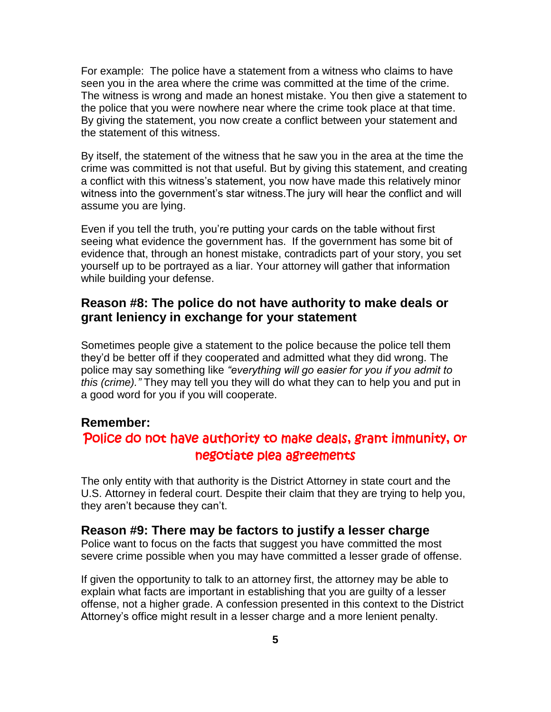For example: The police have a statement from a witness who claims to have seen you in the area where the crime was committed at the time of the crime. The witness is wrong and made an honest mistake. You then give a statement to the police that you were nowhere near where the crime took place at that time. By giving the statement, you now create a conflict between your statement and the statement of this witness.

By itself, the statement of the witness that he saw you in the area at the time the crime was committed is not that useful. But by giving this statement, and creating a conflict with this witness's statement, you now have made this relatively minor witness into the government's star witness.The jury will hear the conflict and will assume you are lying.

Even if you tell the truth, you're putting your cards on the table without first seeing what evidence the government has. If the government has some bit of evidence that, through an honest mistake, contradicts part of your story, you set yourself up to be portrayed as a liar. Your attorney will gather that information while building your defense.

#### **Reason #8: The police do not have authority to make deals or grant leniency in exchange for your statement**

Sometimes people give a statement to the police because the police tell them they'd be better off if they cooperated and admitted what they did wrong. The police may say something like *"everything will go easier for you if you admit to this (crime)."* They may tell you they will do what they can to help you and put in a good word for you if you will cooperate.

#### **Remember:**

# Police do not have authority to make deals, grant immunity, or negotiate plea agreements

The only entity with that authority is the District Attorney in state court and the U.S. Attorney in federal court. Despite their claim that they are trying to help you, they aren't because they can't.

#### **Reason #9: There may be factors to justify a lesser charge**

Police want to focus on the facts that suggest you have committed the most severe crime possible when you may have committed a lesser grade of offense.

If given the opportunity to talk to an attorney first, the attorney may be able to explain what facts are important in establishing that you are guilty of a lesser offense, not a higher grade. A confession presented in this context to the District Attorney's office might result in a lesser charge and a more lenient penalty.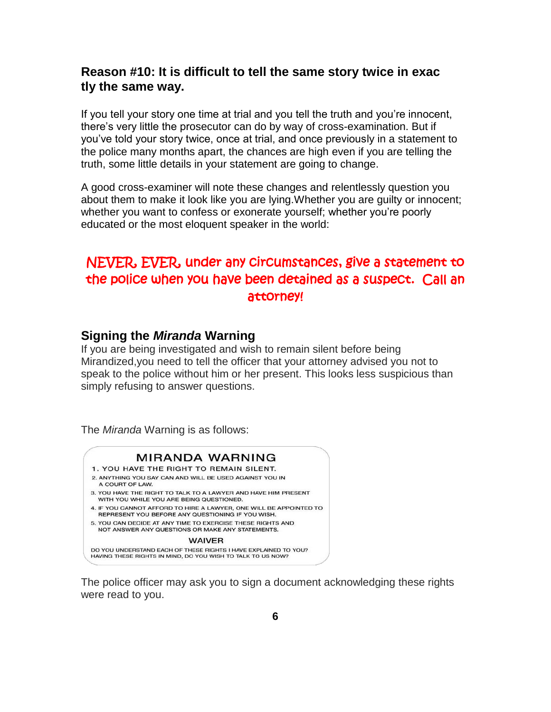# **Reason #10: It is difficult to tell the same story twice in exac tly the same way.**

If you tell your story one time at trial and you tell the truth and you're innocent, there's very little the prosecutor can do by way of cross-examination. But if you've told your story twice, once at trial, and once previously in a statement to the police many months apart, the chances are high even if you are telling the truth, some little details in your statement are going to change.

A good cross-examiner will note these changes and relentlessly question you about them to make it look like you are lying.Whether you are guilty or innocent; whether you want to confess or exonerate yourself; whether you're poorly educated or the most eloquent speaker in the world:

# NEVER, EVER, under any circumstances, give a statement to the police when you have been detained as a suspect. Call an attorney!

#### **Signing the** *Miranda* **Warning**

If you are being investigated and wish to remain silent before being Mirandized,you need to tell the officer that your attorney advised you not to speak to the police without him or her present. This looks less suspicious than simply refusing to answer questions.

The *Miranda* Warning is as follows:



The police officer may ask you to sign a document acknowledging these rights were read to you.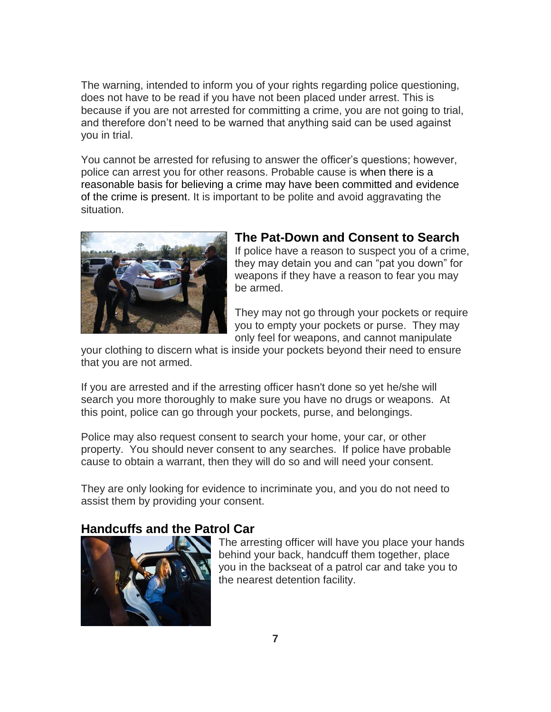The warning, intended to inform you of your rights regarding police questioning, does not have to be read if you have not been placed under arrest. This is because if you are not arrested for committing a crime, you are not going to trial, and therefore don't need to be warned that anything said can be used against you in trial.

You cannot be arrested for refusing to answer the officer's questions; however, police can arrest you for other reasons. Probable cause is when there is a reasonable basis for believing a crime may have been committed and evidence of the crime is present. It is important to be polite and avoid aggravating the situation.



#### **The Pat-Down and Consent to Search**

If police have a reason to suspect you of a crime, they may detain you and can "pat you down" for weapons if they have a reason to fear you may be armed.

They may not go through your pockets or require you to empty your pockets or purse. They may only feel for weapons, and cannot manipulate

your clothing to discern what is inside your pockets beyond their need to ensure that you are not armed.

If you are arrested and if the arresting officer hasn't done so yet he/she will search you more thoroughly to make sure you have no drugs or weapons. At this point, police can go through your pockets, purse, and belongings.

Police may also request consent to search your home, your car, or other property. You should never consent to any searches. If police have probable cause to obtain a warrant, then they will do so and will need your consent.

They are only looking for evidence to incriminate you, and you do not need to assist them by providing your consent.

#### **Handcuffs and the Patrol Car**



The arresting officer will have you place your hands behind your back, handcuff them together, place you in the backseat of a patrol car and take you to the nearest detention facility.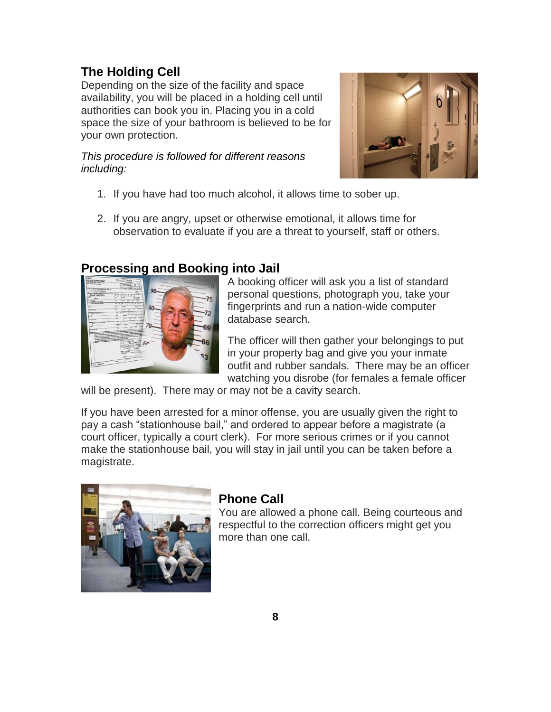# **The Holding Cell**

Depending on the size of the facility and space availability, you will be placed in a holding cell until authorities can book you in. Placing you in a cold space the size of your bathroom is believed to be for your own protection.

*This procedure is followed for different reasons including:*



- 1. If you have had too much alcohol, it allows time to sober up.
- 2. If you are angry, upset or otherwise emotional, it allows time for observation to evaluate if you are a threat to yourself, staff or others.

#### **Processing and Booking into Jail**



A booking officer will ask you a list of standard personal questions, photograph you, take your fingerprints and run a nation-wide computer database search.

The officer will then gather your belongings to put in your property bag and give you your inmate outfit and rubber sandals. There may be an officer watching you disrobe (for females a female officer

will be present). There may or may not be a cavity search.

If you have been arrested for a minor offense, you are usually given the right to pay a cash "stationhouse bail," and ordered to appear before a magistrate (a court officer, typically a court clerk). For more serious crimes or if you cannot make the stationhouse bail, you will stay in jail until you can be taken before a magistrate.



# **Phone Call**

You are allowed a phone call. Being courteous and respectful to the correction officers might get you more than one call.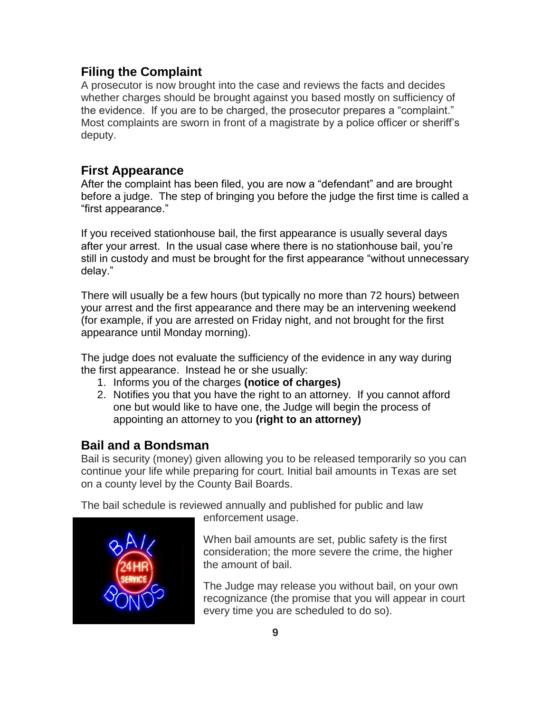# **Filing the Complaint**

A prosecutor is now brought into the case and reviews the facts and decides whether charges should be brought against you based mostly on sufficiency of the evidence. If you are to be charged, the prosecutor prepares a "complaint." Most complaints are sworn in front of a magistrate by a police officer or sheriff's deputy.

# **First Appearance**

After the complaint has been filed, you are now a "defendant" and are brought before a judge. The step of bringing you before the judge the first time is called a "first appearance."

If you received stationhouse bail, the first appearance is usually several days after your arrest. In the usual case where there is no stationhouse bail, you're still in custody and must be brought for the first appearance "without unnecessary delay."

There will usually be a few hours (but typically no more than 72 hours) between your arrest and the first appearance and there may be an intervening weekend (for example, if you are arrested on Friday night, and not brought for the first appearance until Monday morning).

The judge does not evaluate the sufficiency of the evidence in any way during the first appearance. Instead he or she usually:

- 1. Informs you of the charges **(notice of charges)**
- 2. Notifies you that you have the right to an attorney. If you cannot afford one but would like to have one, the Judge will begin the process of appointing an attorney to you **(right to an attorney)**

# **Bail and a Bondsman**

Bail is security (money) given allowing you to be released temporarily so you can continue your life while preparing for court. Initial bail amounts in Texas are set on a county level by the County Bail Boards.

The bail schedule is reviewed annually and published for public and law



enforcement usage.

When bail amounts are set, public safety is the first consideration; the more severe the crime, the higher the amount of bail.

The Judge may release you without bail, on your own recognizance (the promise that you will appear in court every time you are scheduled to do so).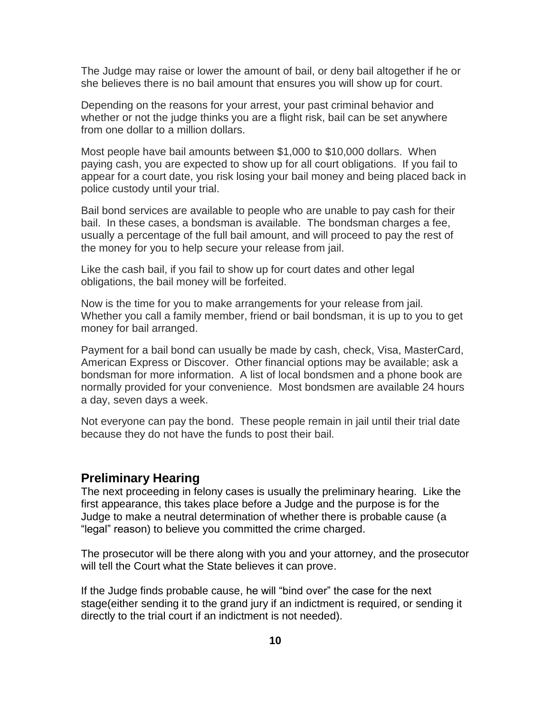The Judge may raise or lower the amount of bail, or deny bail altogether if he or she believes there is no bail amount that ensures you will show up for court.

Depending on the reasons for your arrest, your past criminal behavior and whether or not the judge thinks you are a flight risk, bail can be set anywhere from one dollar to a million dollars.

Most people have bail amounts between \$1,000 to \$10,000 dollars. When paying cash, you are expected to show up for all court obligations. If you fail to appear for a court date, you risk losing your bail money and being placed back in police custody until your trial.

Bail bond services are available to people who are unable to pay cash for their bail. In these cases, a bondsman is available. The bondsman charges a fee, usually a percentage of the full bail amount, and will proceed to pay the rest of the money for you to help secure your release from jail.

Like the cash bail, if you fail to show up for court dates and other legal obligations, the bail money will be forfeited.

Now is the time for you to make arrangements for your release from jail. Whether you call a family member, friend or bail bondsman, it is up to you to get money for bail arranged.

Payment for a bail bond can usually be made by cash, check, Visa, MasterCard, American Express or Discover. Other financial options may be available; ask a bondsman for more information. A list of local bondsmen and a phone book are normally provided for your convenience. Most bondsmen are available 24 hours a day, seven days a week.

Not everyone can pay the bond. These people remain in jail until their trial date because they do not have the funds to post their bail.

#### **Preliminary Hearing**

The next proceeding in felony cases is usually the preliminary hearing. Like the first appearance, this takes place before a Judge and the purpose is for the Judge to make a neutral determination of whether there is probable cause (a "legal" reason) to believe you committed the crime charged.

The prosecutor will be there along with you and your attorney, and the prosecutor will tell the Court what the State believes it can prove.

If the Judge finds probable cause, he will "bind over" the case for the next stage(either sending it to the grand jury if an indictment is required, or sending it directly to the trial court if an indictment is not needed).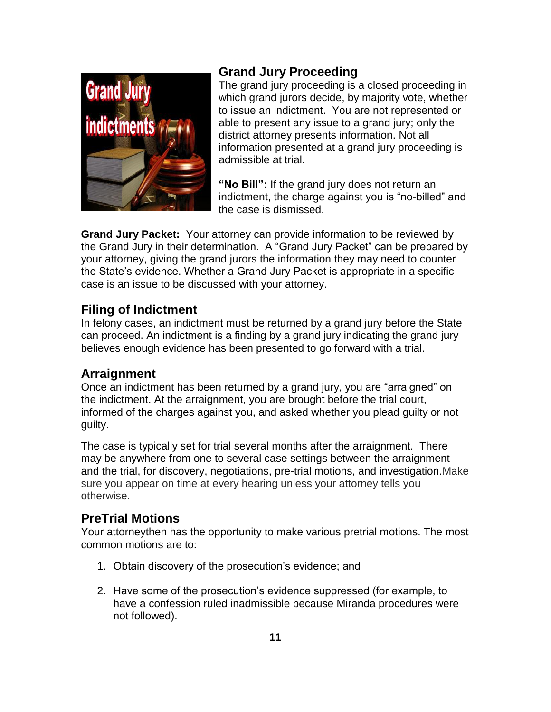

# **Grand Jury Proceeding**

The grand jury proceeding is a closed proceeding in which grand jurors decide, by majority vote, whether to issue an indictment. You are not represented or able to present any issue to a grand jury; only the district attorney presents information. Not all information presented at a grand jury proceeding is admissible at trial.

**"No Bill":** If the grand jury does not return an indictment, the charge against you is "no-billed" and the case is dismissed.

**Grand Jury Packet:** Your attorney can provide information to be reviewed by the Grand Jury in their determination. A "Grand Jury Packet" can be prepared by your attorney, giving the grand jurors the information they may need to counter the State's evidence. Whether a Grand Jury Packet is appropriate in a specific case is an issue to be discussed with your attorney.

# **Filing of Indictment**

In felony cases, an indictment must be returned by a grand jury before the State can proceed. An indictment is a finding by a grand jury indicating the grand jury believes enough evidence has been presented to go forward with a trial.

# **Arraignment**

Once an indictment has been returned by a grand jury, you are "arraigned" on the indictment. At the arraignment, you are brought before the trial court, informed of the charges against you, and asked whether you plead guilty or not guilty.

The case is typically set for trial several months after the arraignment. There may be anywhere from one to several case settings between the arraignment and the trial, for discovery, negotiations, pre-trial motions, and investigation.Make sure you appear on time at every hearing unless your attorney tells you otherwise.

# **PreTrial Motions**

Your attorneythen has the opportunity to make various pretrial motions. The most common motions are to:

- 1. Obtain discovery of the prosecution's evidence; and
- 2. Have some of the prosecution's evidence suppressed (for example, to have a confession ruled inadmissible because Miranda procedures were not followed).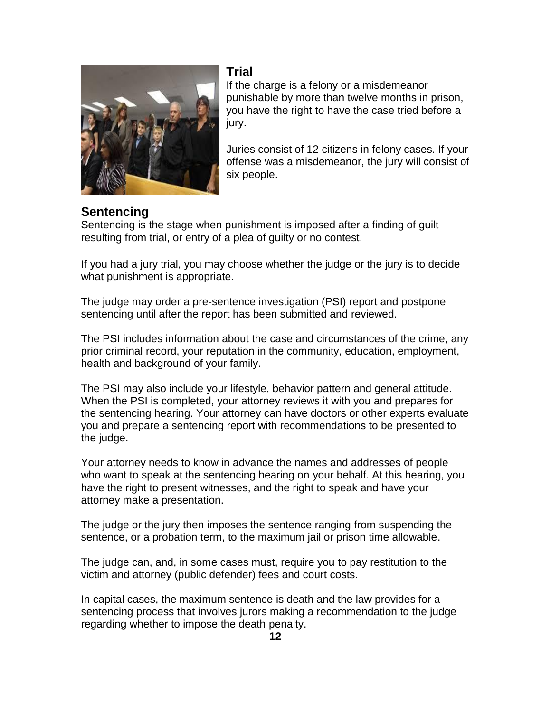

# **Trial**

If the charge is a felony or a misdemeanor punishable by more than twelve months in prison, you have the right to have the case tried before a jury.

Juries consist of 12 citizens in felony cases. If your offense was a misdemeanor, the jury will consist of six people.

# **Sentencing**

Sentencing is the stage when punishment is imposed after a finding of guilt resulting from trial, or entry of a plea of guilty or no contest.

If you had a jury trial, you may choose whether the judge or the jury is to decide what punishment is appropriate.

The judge may order a pre-sentence investigation (PSI) report and postpone sentencing until after the report has been submitted and reviewed.

The PSI includes information about the case and circumstances of the crime, any prior criminal record, your reputation in the community, education, employment, health and background of your family.

The PSI may also include your lifestyle, behavior pattern and general attitude. When the PSI is completed, your attorney reviews it with you and prepares for the sentencing hearing. Your attorney can have doctors or other experts evaluate you and prepare a sentencing report with recommendations to be presented to the judge.

Your attorney needs to know in advance the names and addresses of people who want to speak at the sentencing hearing on your behalf. At this hearing, you have the right to present witnesses, and the right to speak and have your attorney make a presentation.

The judge or the jury then imposes the sentence ranging from suspending the sentence, or a probation term, to the maximum jail or prison time allowable.

The judge can, and, in some cases must, require you to pay restitution to the victim and attorney (public defender) fees and court costs.

In capital cases, the maximum sentence is death and the law provides for a sentencing process that involves jurors making a recommendation to the judge regarding whether to impose the death penalty.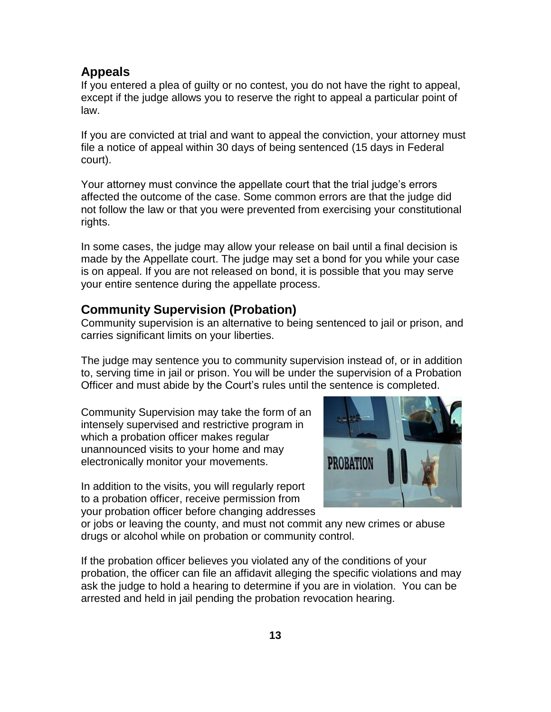#### **Appeals**

If you entered a plea of guilty or no contest, you do not have the right to appeal, except if the judge allows you to reserve the right to appeal a particular point of law.

If you are convicted at trial and want to appeal the conviction, your attorney must file a notice of appeal within 30 days of being sentenced (15 days in Federal court).

Your attorney must convince the appellate court that the trial judge's errors affected the outcome of the case. Some common errors are that the judge did not follow the law or that you were prevented from exercising your constitutional rights.

In some cases, the judge may allow your release on bail until a final decision is made by the Appellate court. The judge may set a bond for you while your case is on appeal. If you are not released on bond, it is possible that you may serve your entire sentence during the appellate process.

#### **Community Supervision (Probation)**

Community supervision is an alternative to being sentenced to jail or prison, and carries significant limits on your liberties.

The judge may sentence you to community supervision instead of, or in addition to, serving time in jail or prison. You will be under the supervision of a Probation Officer and must abide by the Court's rules until the sentence is completed.

Community Supervision may take the form of an intensely supervised and restrictive program in which a probation officer makes regular unannounced visits to your home and may electronically monitor your movements.

In addition to the visits, you will regularly report to a probation officer, receive permission from your probation officer before changing addresses



or jobs or leaving the county, and must not commit any new crimes or abuse drugs or alcohol while on probation or community control.

If the probation officer believes you violated any of the conditions of your probation, the officer can file an affidavit alleging the specific violations and may ask the judge to hold a hearing to determine if you are in violation. You can be arrested and held in jail pending the probation revocation hearing.